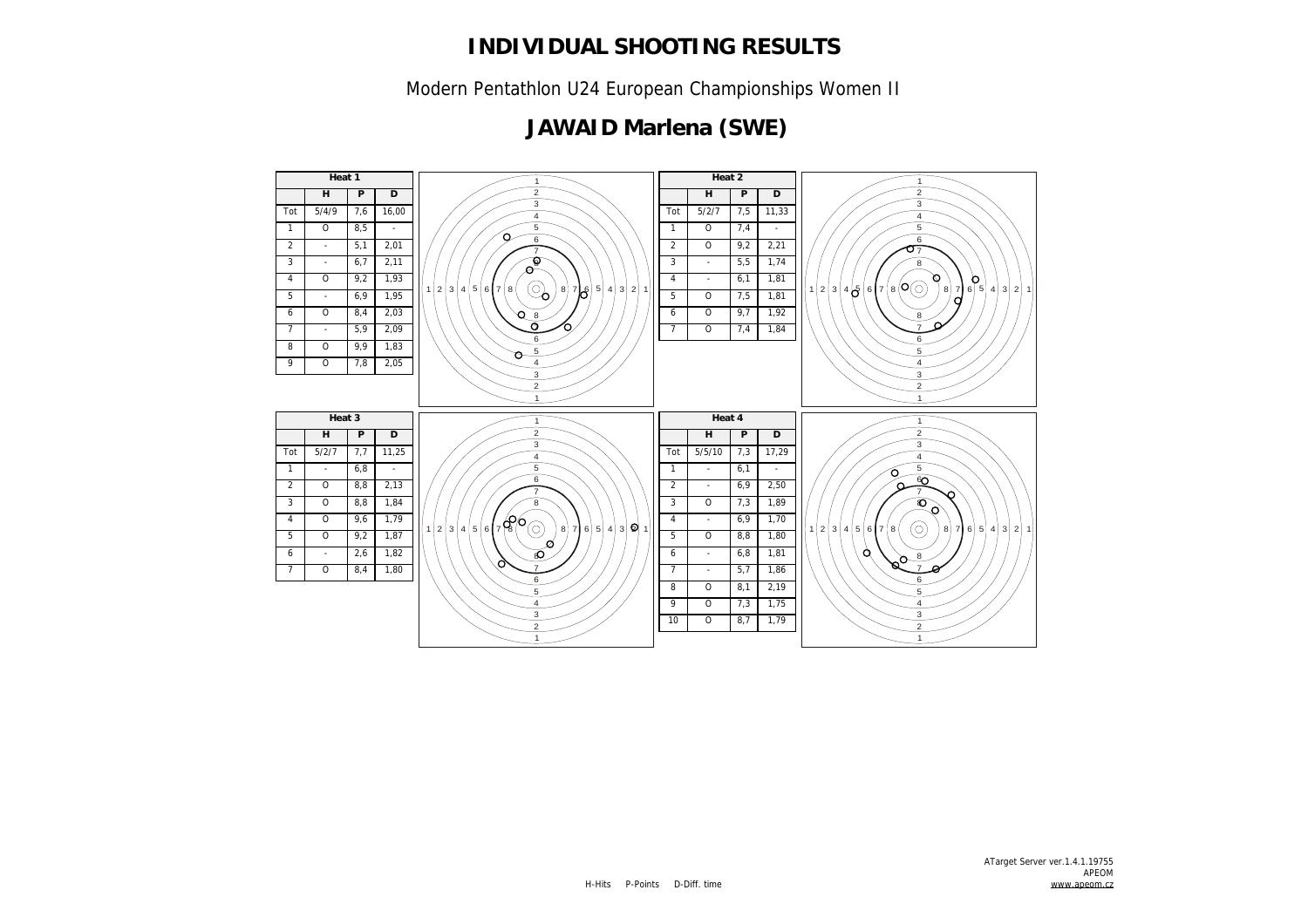Modern Pentathlon U24 European Championships Women II

#### **JAWAID Marlena (SWE)**

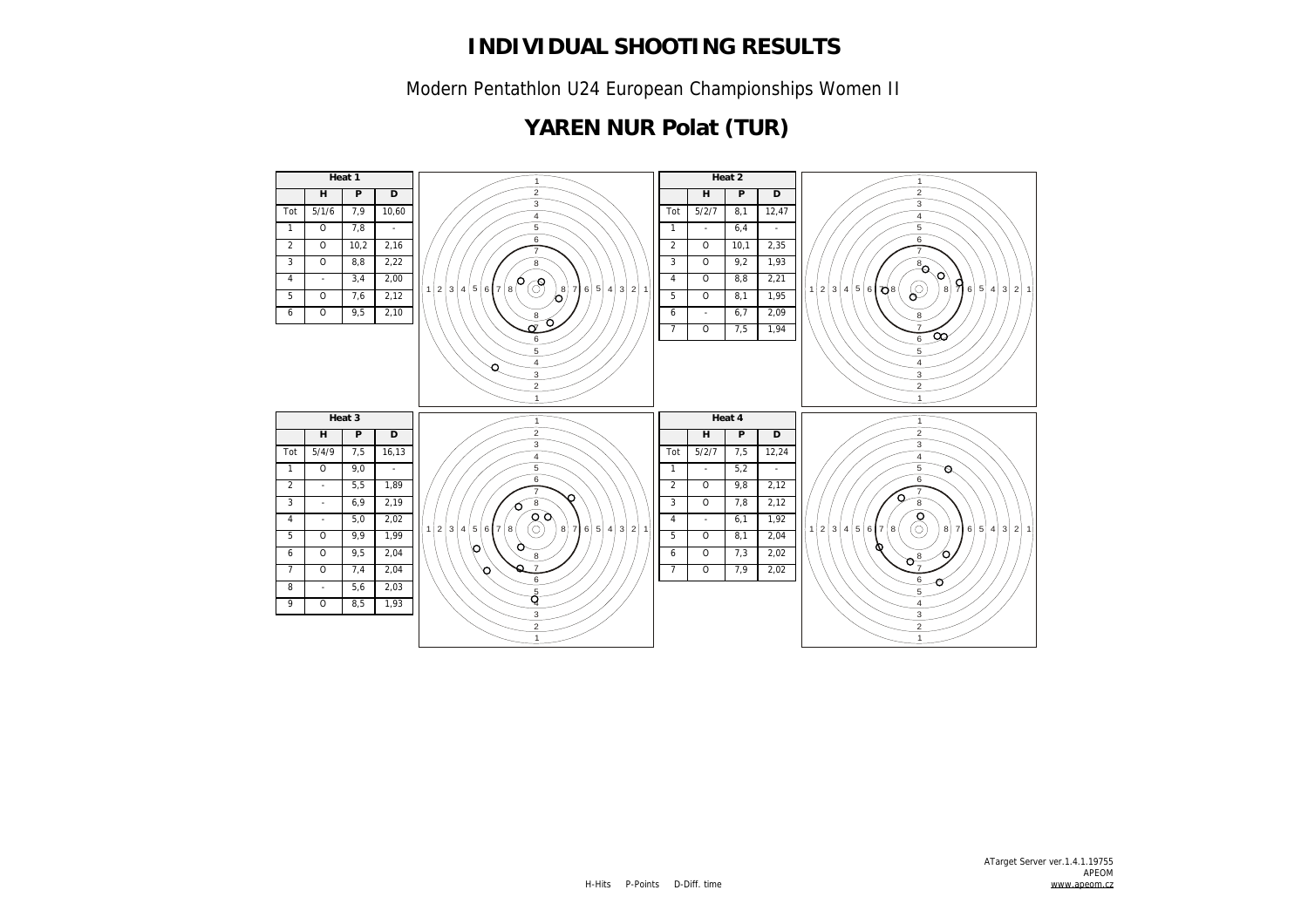Modern Pentathlon U24 European Championships Women II

## **YAREN NUR Polat (TUR)**

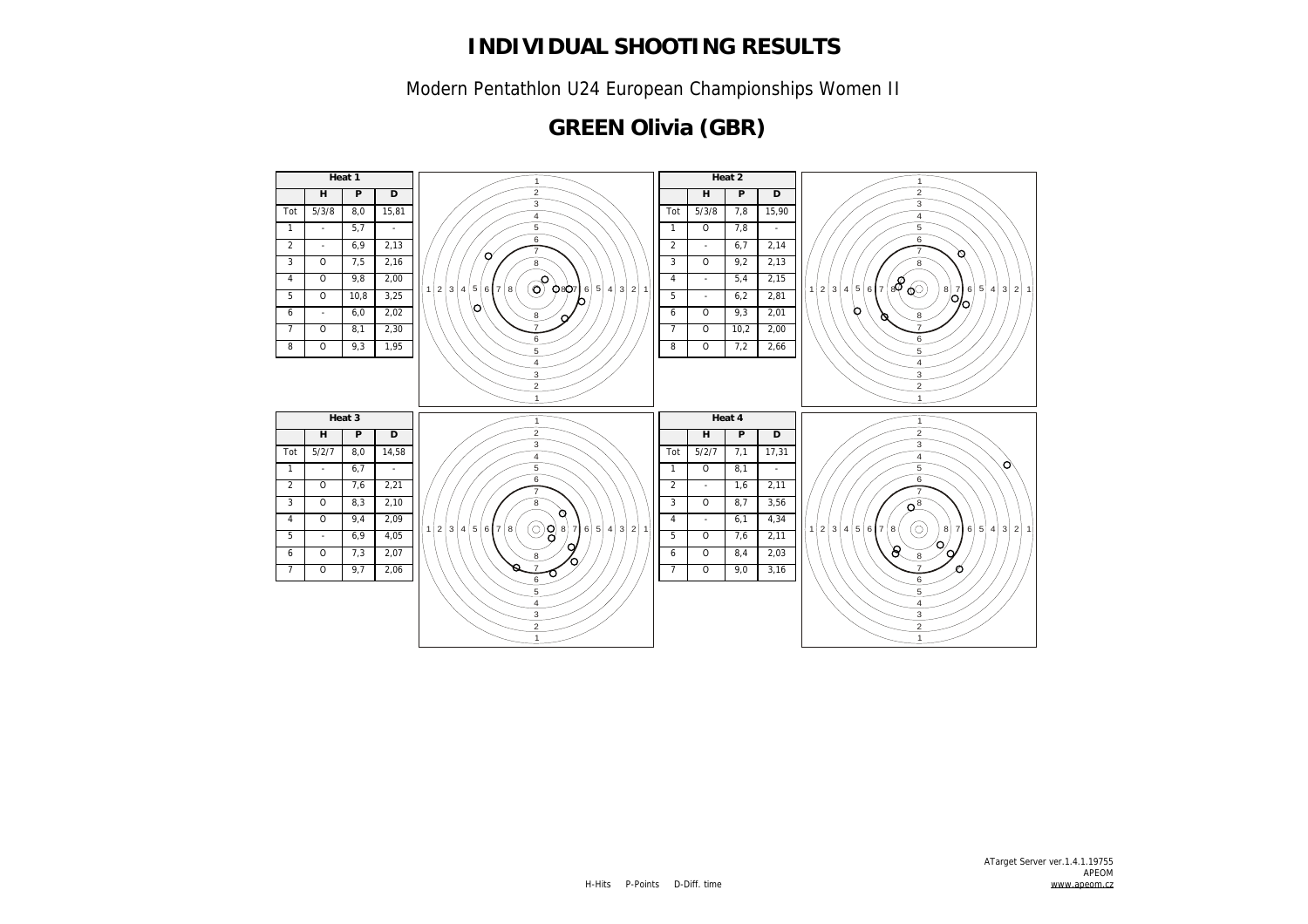Modern Pentathlon U24 European Championships Women II

#### **GREEN Olivia (GBR)**

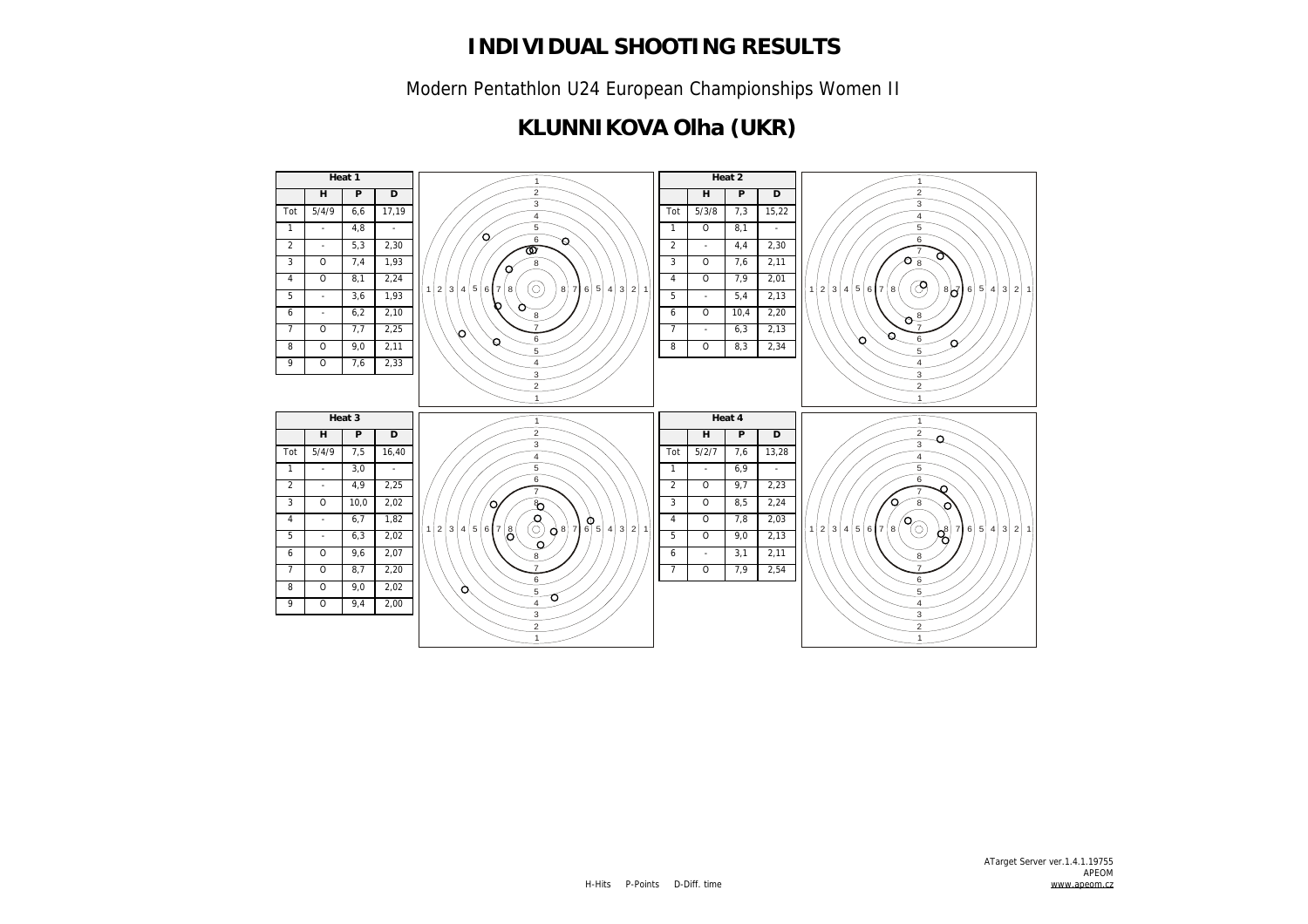Modern Pentathlon U24 European Championships Women II

### **KLUNNIKOVA Olha (UKR)**

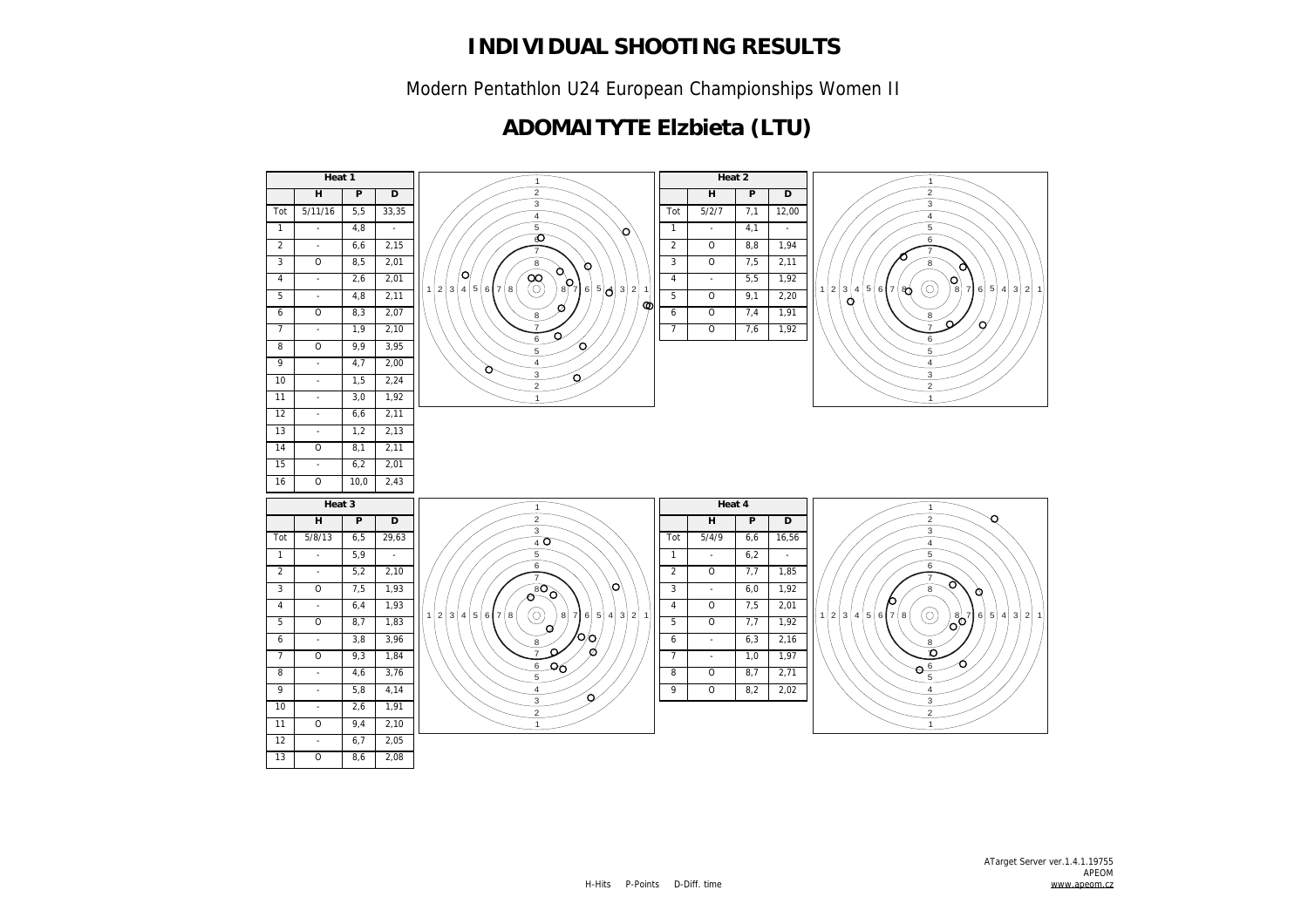Modern Pentathlon U24 European Championships Women II

### **ADOMAITYTE Elzbieta (LTU)**

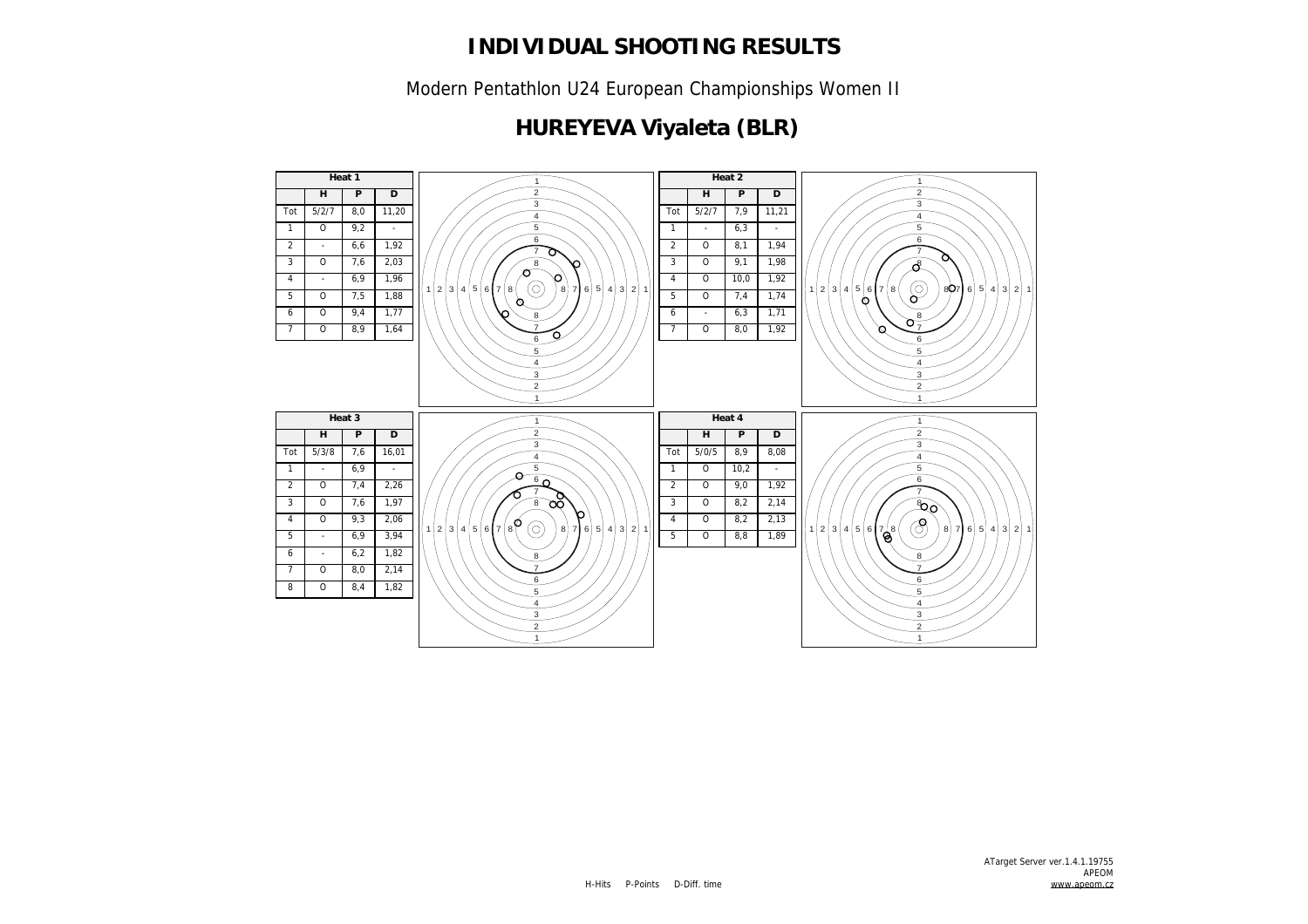Modern Pentathlon U24 European Championships Women II

## **HUREYEVA Viyaleta (BLR)**

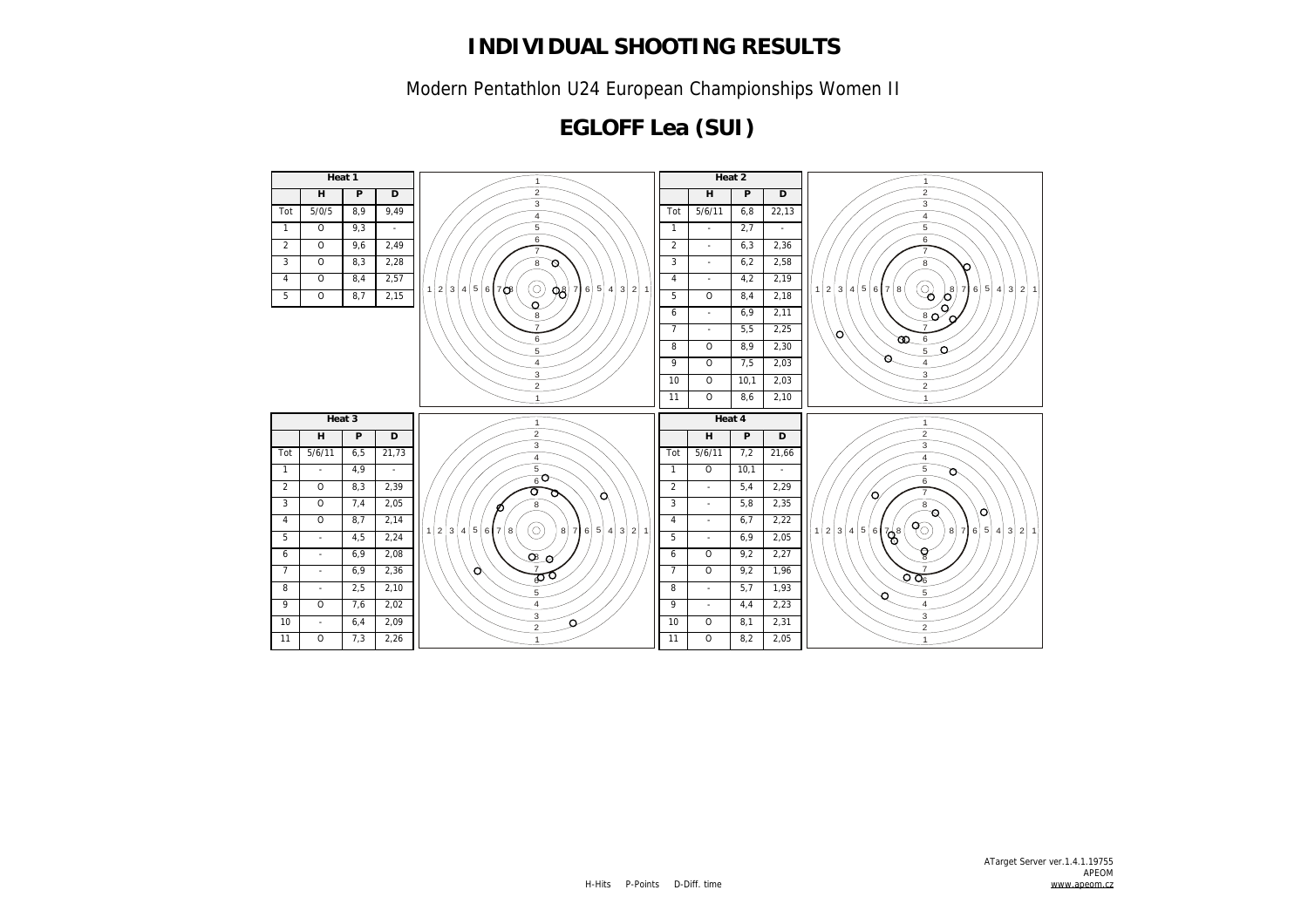Modern Pentathlon U24 European Championships Women II

## **EGLOFF Lea (SUI)**

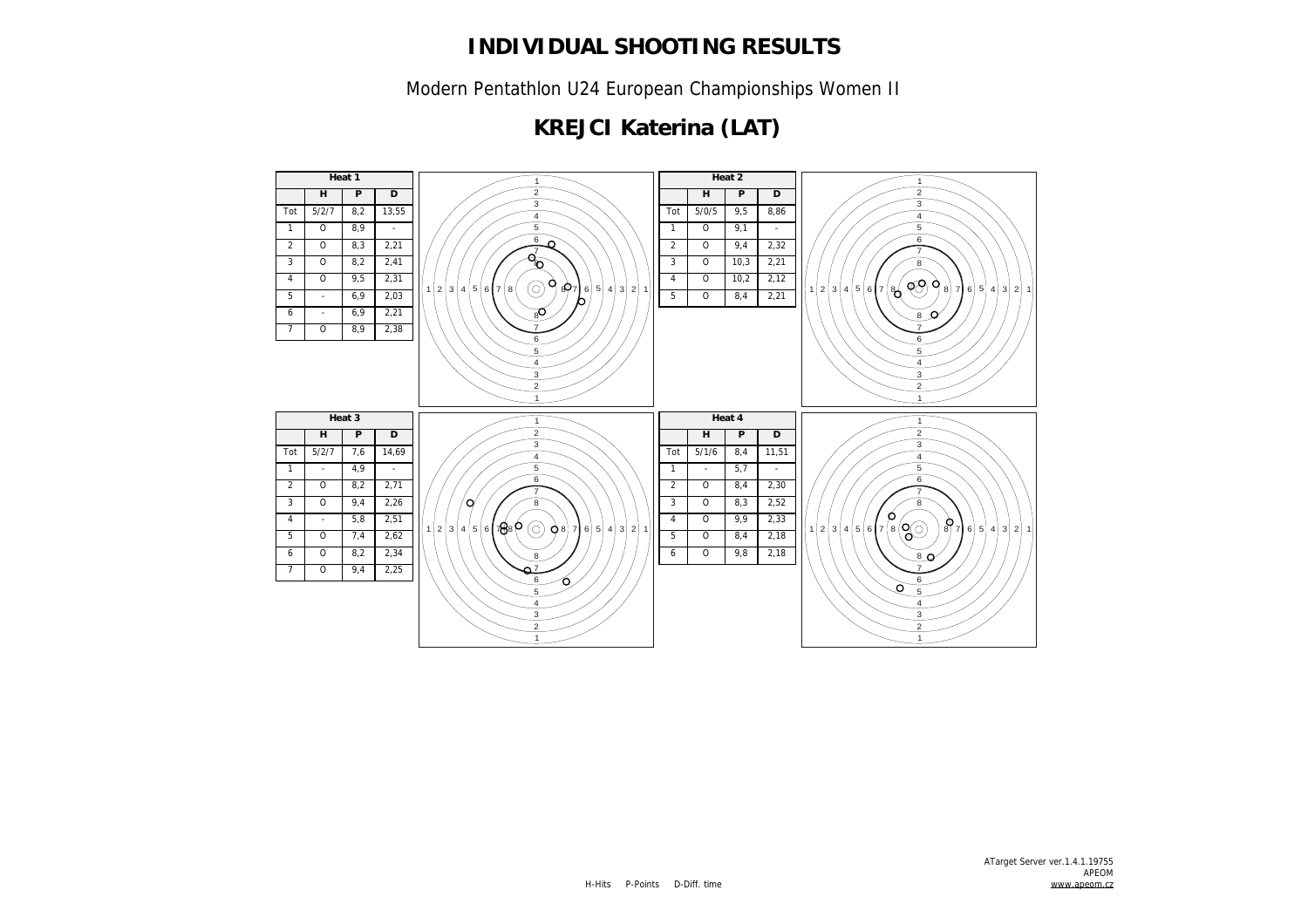Modern Pentathlon U24 European Championships Women II

## **KREJCI Katerina (LAT)**

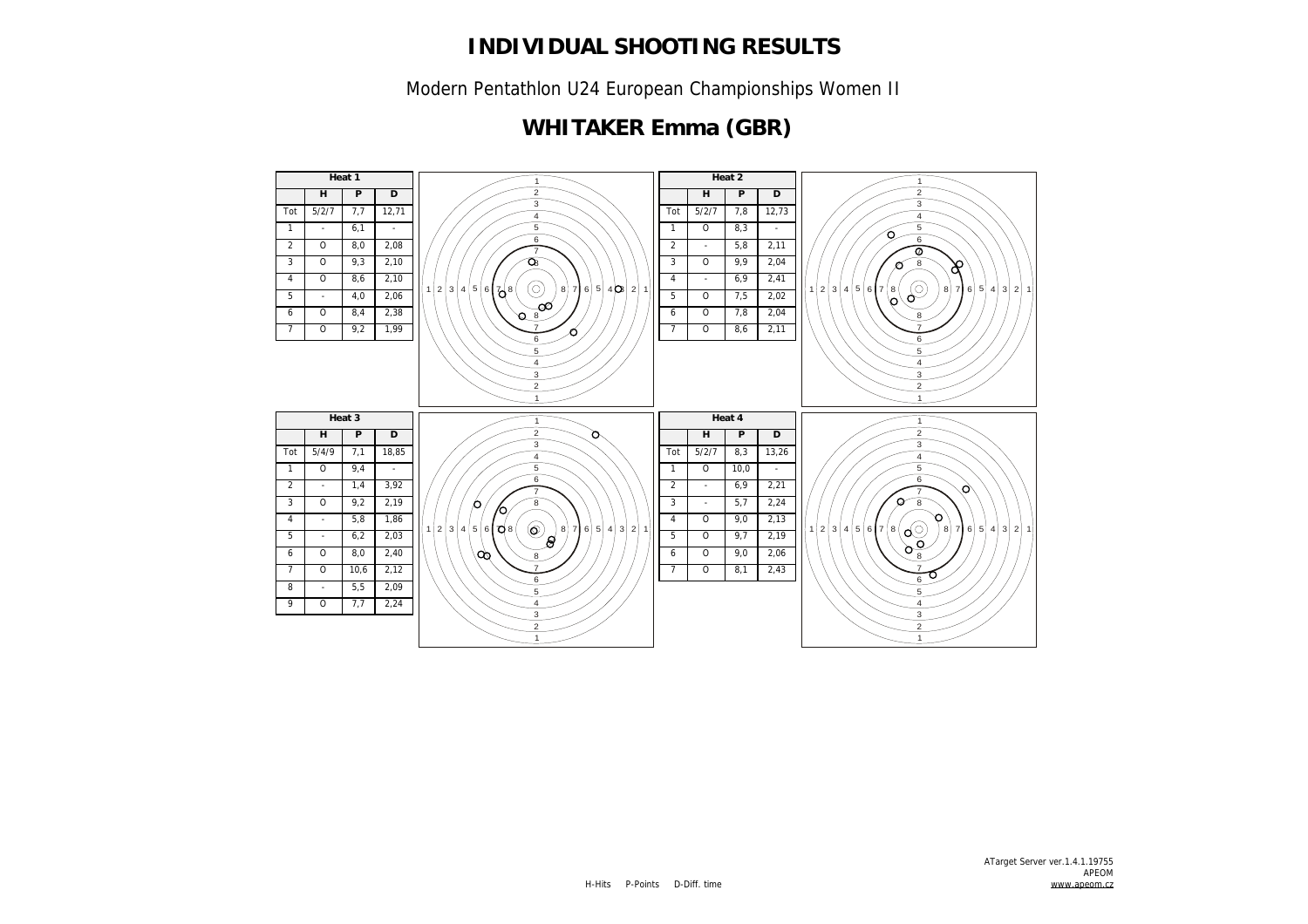Modern Pentathlon U24 European Championships Women II

### **WHITAKER Emma (GBR)**

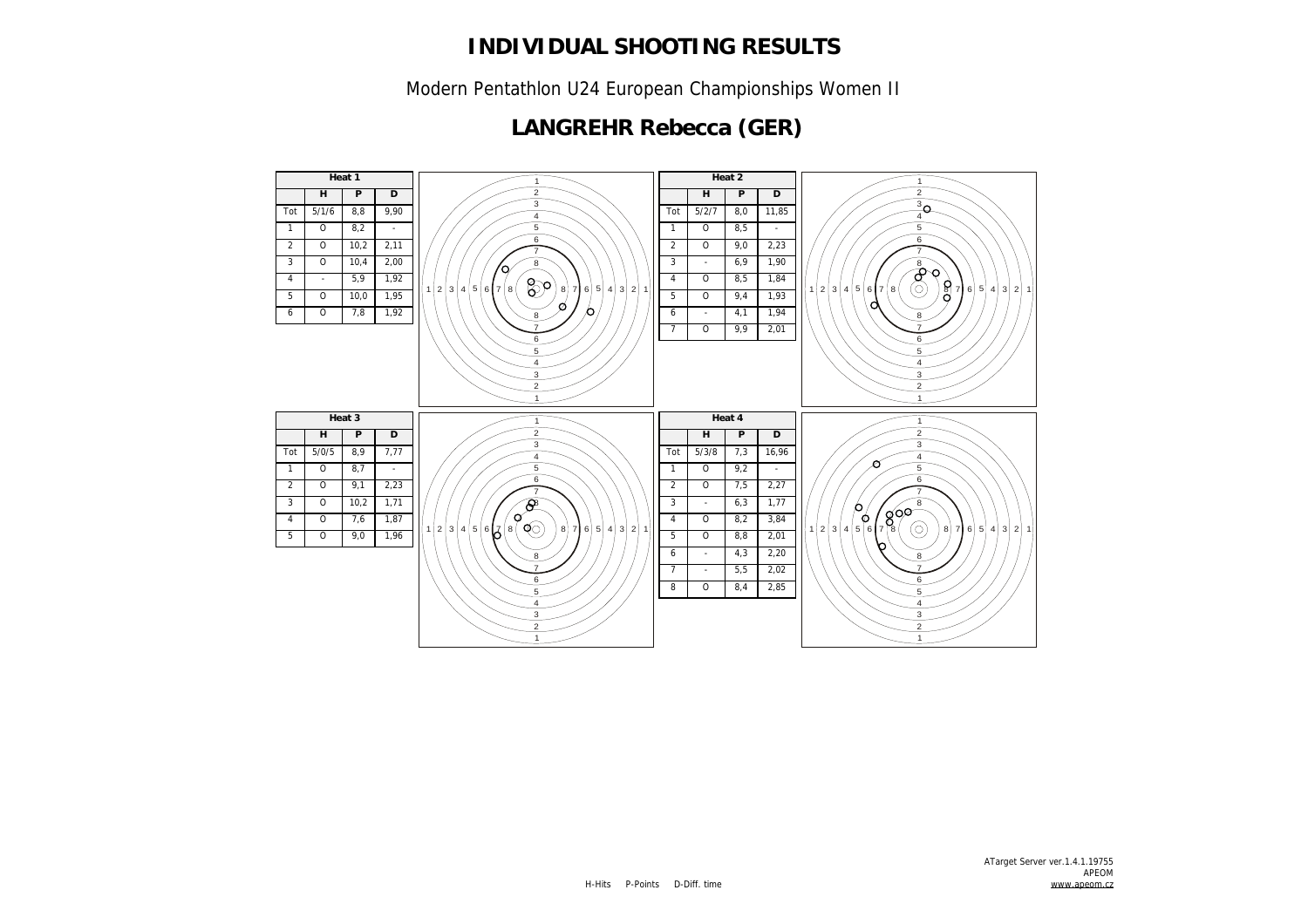Modern Pentathlon U24 European Championships Women II

## **LANGREHR Rebecca (GER)**

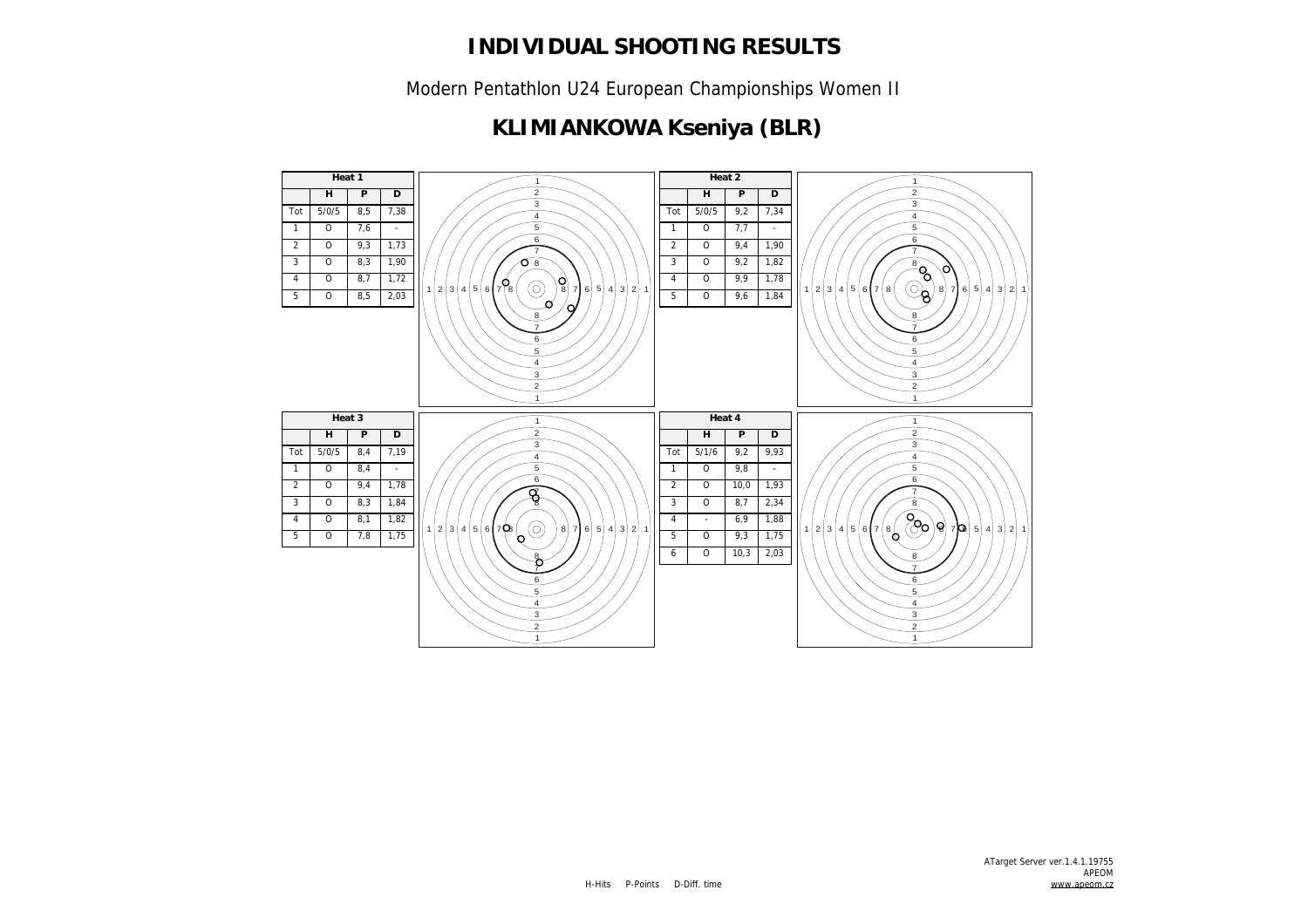Modern Pentathlon U24 European Championships Women II

# **KLIMIANKOWA Kseniya (BLR)**

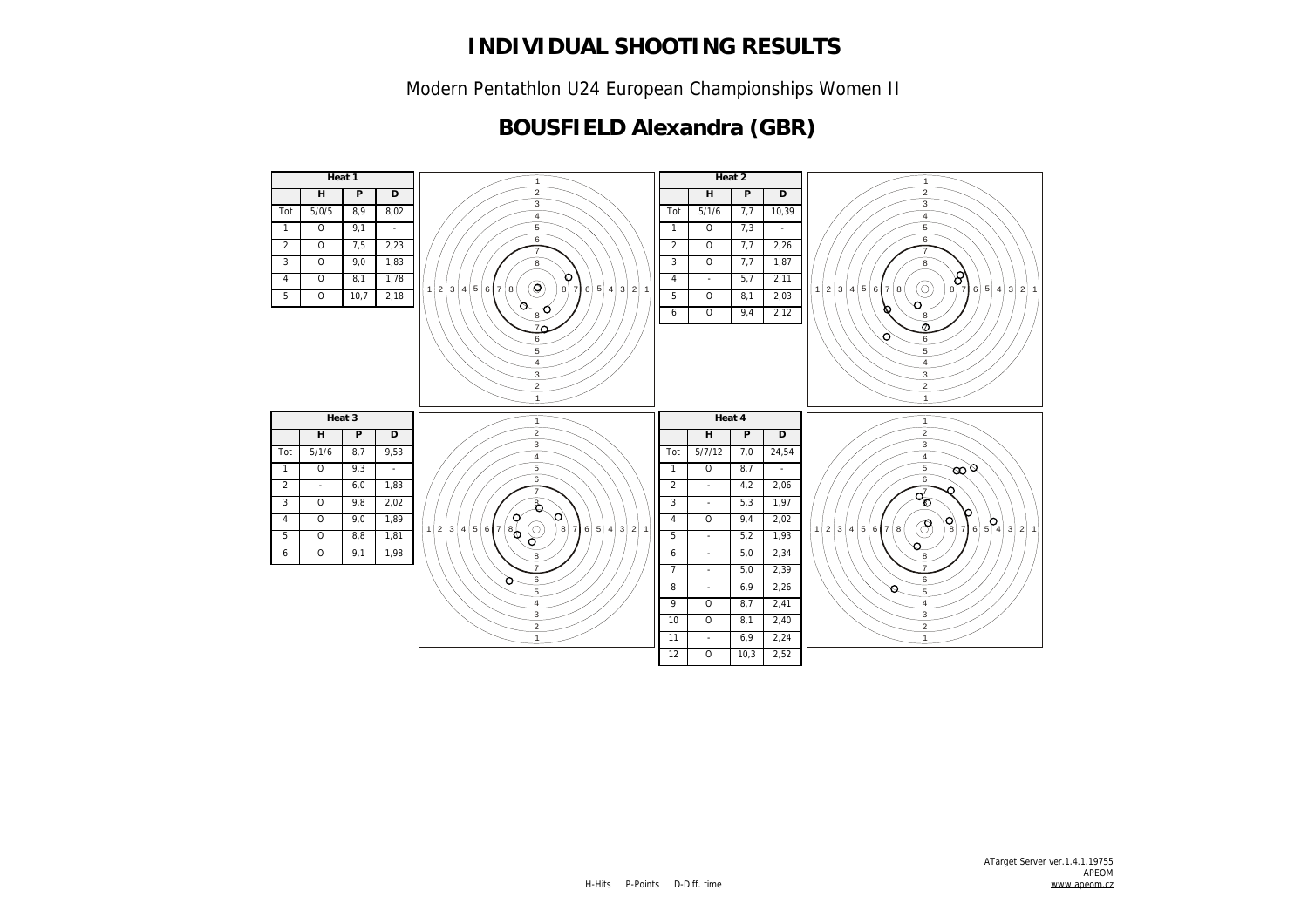Modern Pentathlon U24 European Championships Women II

### **BOUSFIELD Alexandra (GBR)**

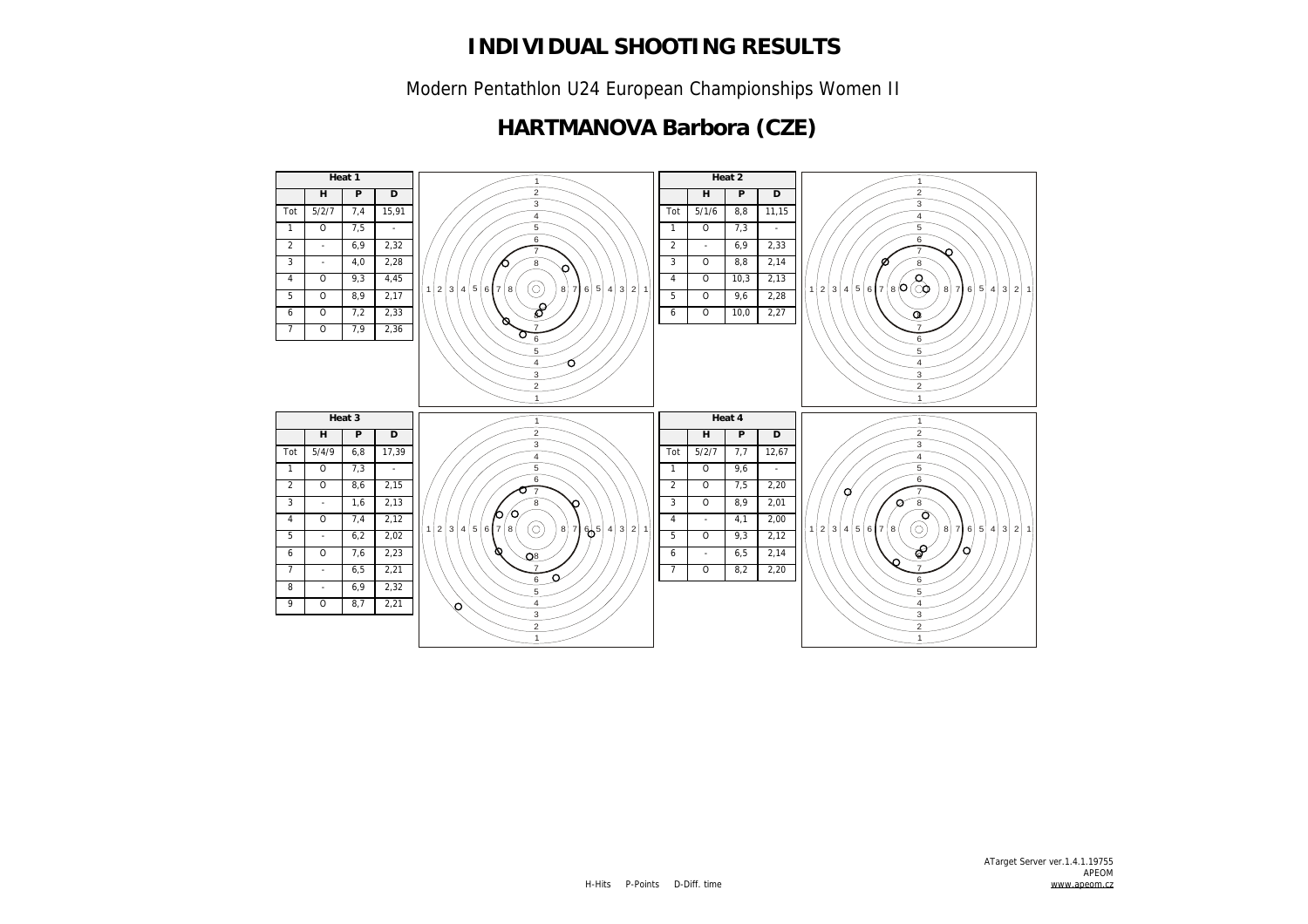Modern Pentathlon U24 European Championships Women II

### **HARTMANOVA Barbora (CZE)**

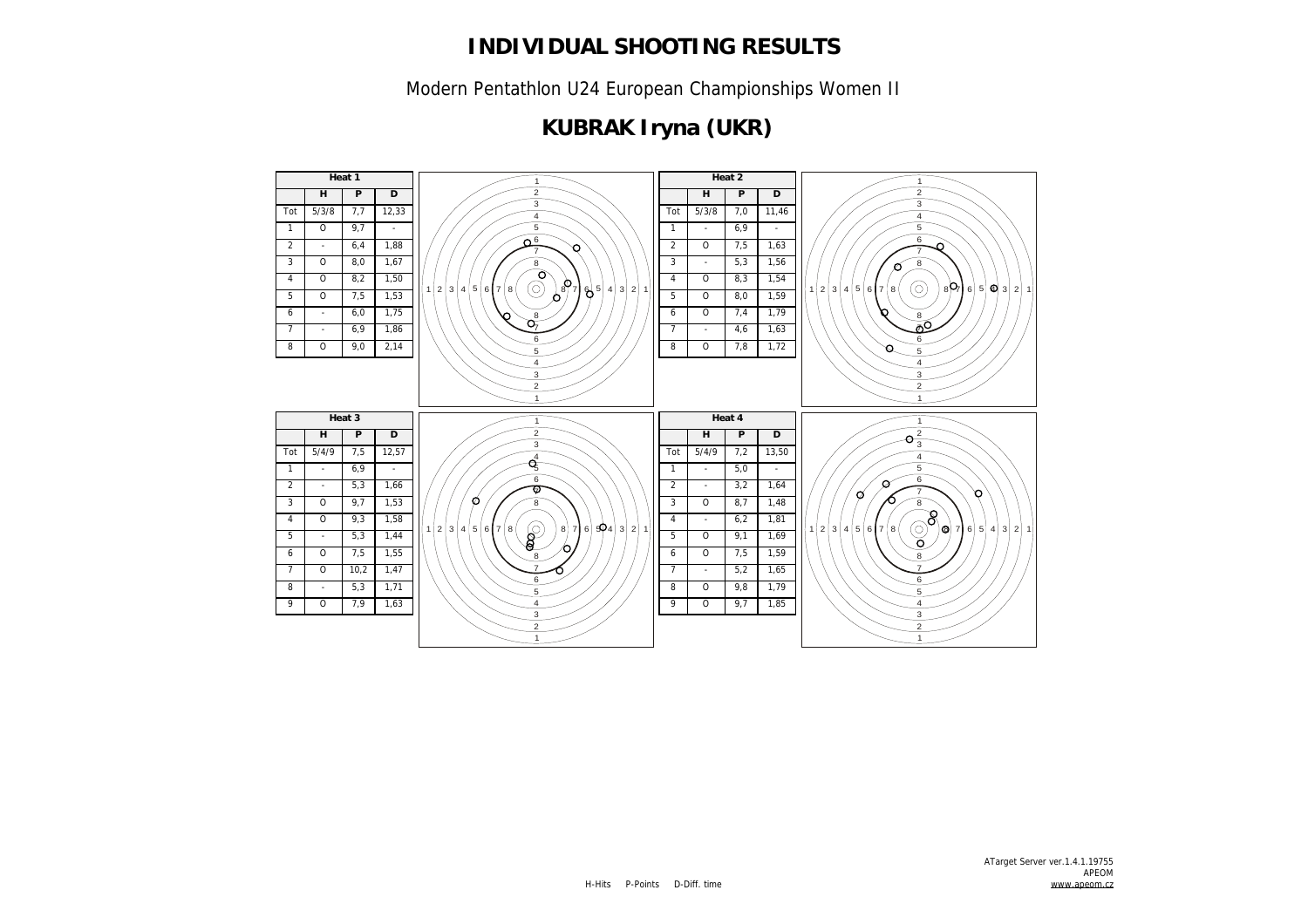Modern Pentathlon U24 European Championships Women II

# **KUBRAK Iryna (UKR)**

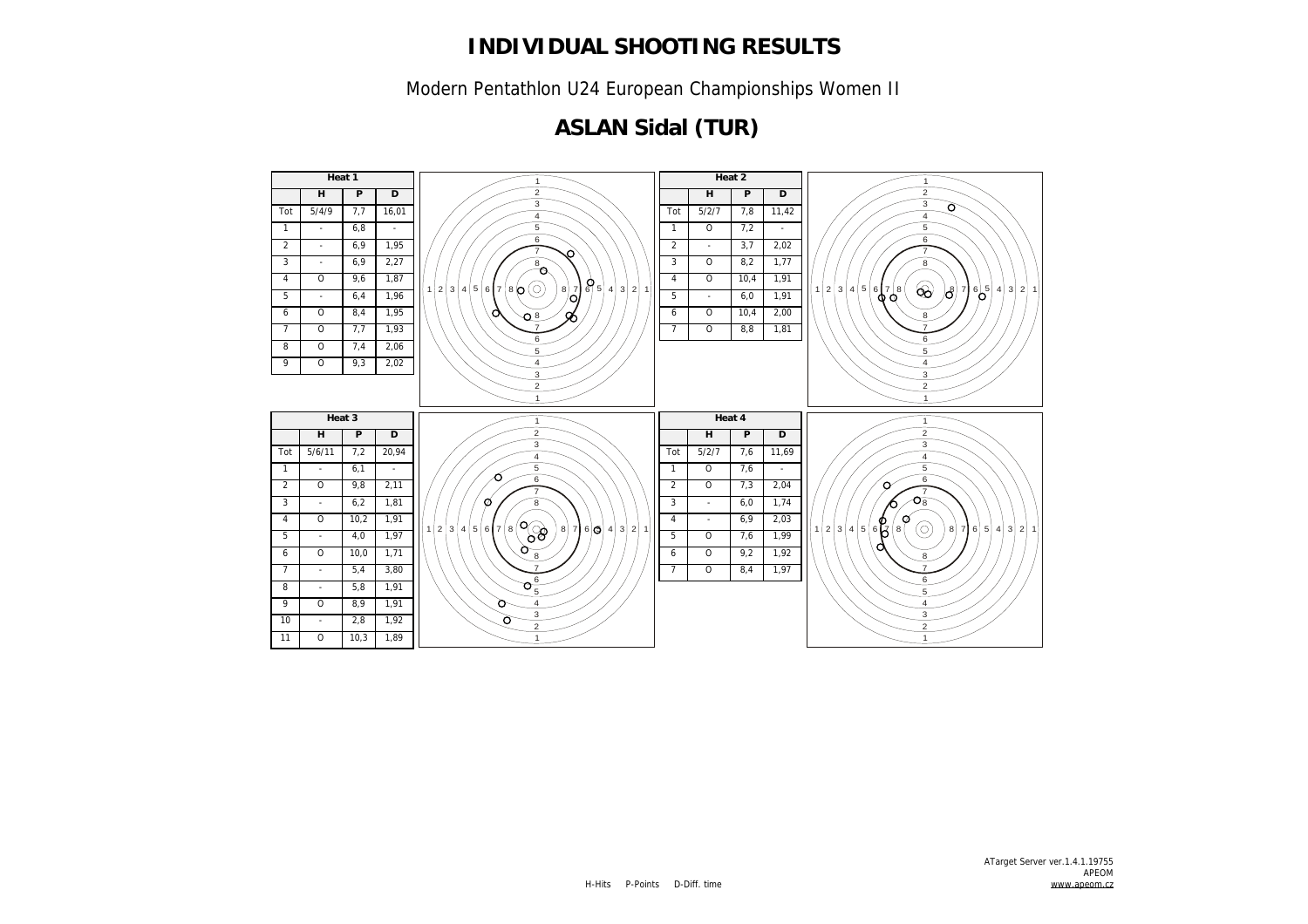Modern Pentathlon U24 European Championships Women II

## **ASLAN Sidal (TUR)**

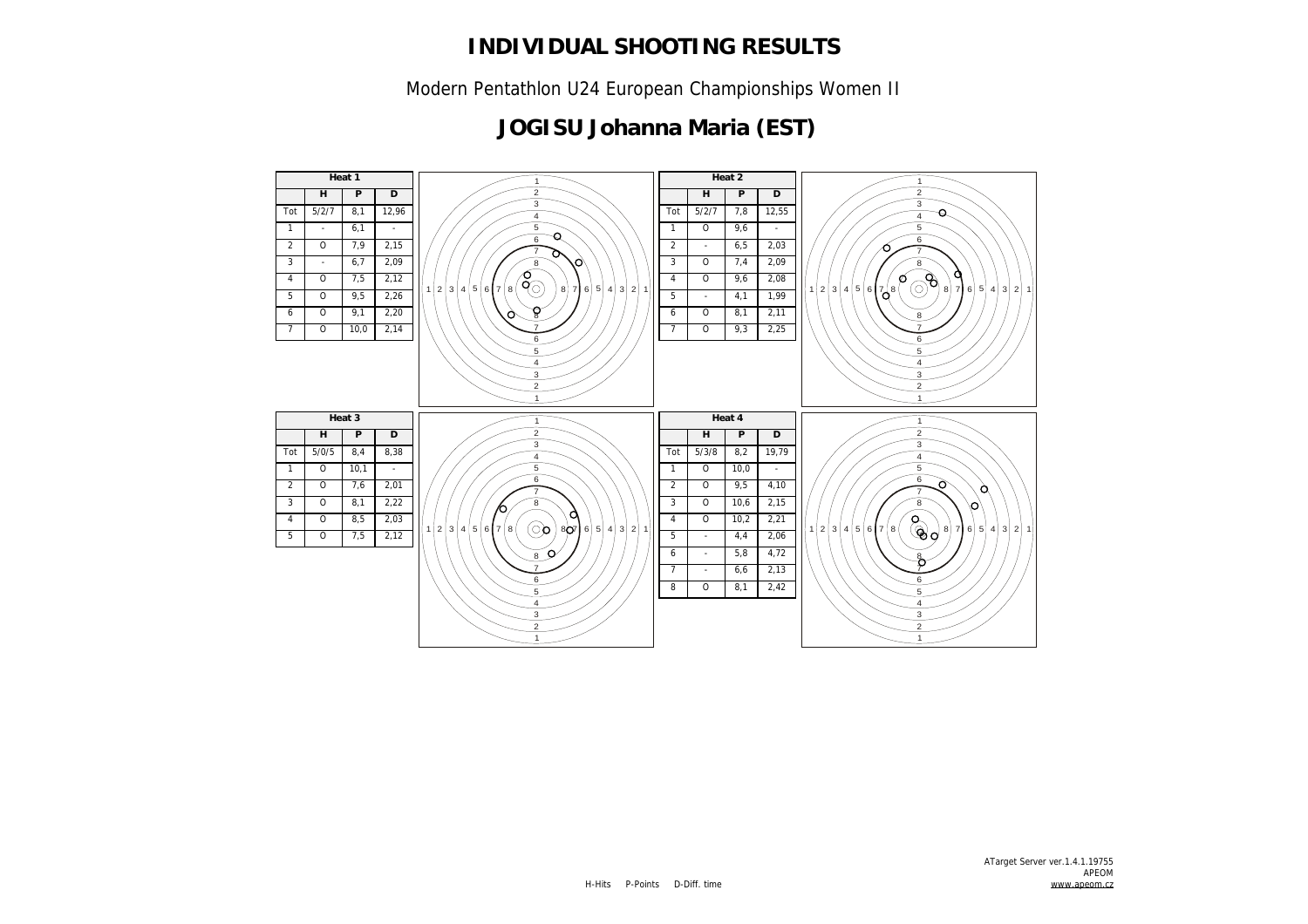Modern Pentathlon U24 European Championships Women II

#### **JOGISU Johanna Maria (EST)**